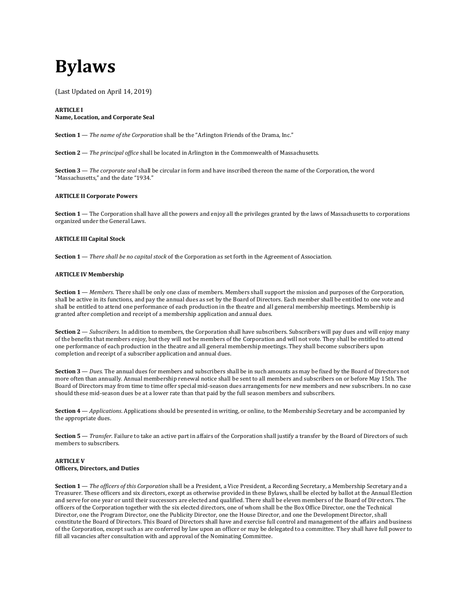# **Bylaws**

(Last Updated on April 14, 2019)

## **ARTICLE I Name, Location, and Corporate Seal**

**Section 1** — *The name of the Corporation* shall be the "Arlington Friends of the Drama, Inc."

**Section 2** — *The principal office* shall be located in Arlington in the Commonwealth of Massachusetts.

**Section 3** — *The corporate seal* shall be circular in form and have inscribed thereon the name of the Corporation, the word "Massachusetts," and the date "1934."

## **ARTICLE II Corporate Powers**

Section 1 — The Corporation shall have all the powers and enjoy all the privileges granted by the laws of Massachusetts to corporations organized under the General Laws.

# **ARTICLE III Capital Stock**

**Section 1** — *There shall be no capital stock* of the Corporation as set forth in the Agreement of Association.

## **ARTICLE IV Membership**

**Section 1** — *Members*. There shall be only one class of members. Members shall support the mission and purposes of the Corporation, shall be active in its functions, and pay the annual dues as set by the Board of Directors. Each member shall be entitled to one vote and shall be entitled to attend one performance of each production in the theatre and all general membership meetings. Membership is granted after completion and receipt of a membership application and annual dues.

**Section 2** — *Subscribers*. In addition to members, the Corporation shall have subscribers. Subscribers will pay dues and will enjoy many of the benefits that members enjoy, but they will not be members of the Corporation and will not vote. They shall be entitled to attend one performance of each production in the theatre and all general membership meetings. They shall become subscribers upon completion and receipt of a subscriber application and annual dues.

**Section 3** — *Dues*. The annual dues for members and subscribers shall be in such amounts as may be fixed by the Board of Directors not more often than annually. Annual membership renewal notice shall be sent to all members and subscribers on or before May 15th. The Board of Directors may from time to time offer special mid-season dues arrangements for new members and new subscribers. In no case should these mid-season dues be at a lower rate than that paid by the full season members and subscribers.

**Section 4** — *Applications*. Applications should be presented in writing, or online, to the Membership Secretary and be accompanied by the appropriate dues.

**Section 5** — *Transfer*. Failure to take an active part in affairs of the Corporation shall justify a transfer by the Board of Directors of such members to subscribers.

## **ARTICLE V Officers, Directors, and Duties**

**Section 1** — *The officers of this Corporation* shall be a President, a Vice President, a Recording Secretary, a Membership Secretary and a Treasurer. These officers and six directors, except as otherwise provided in these Bylaws, shall be elected by ballot at the Annual Election and serve for one year or until their successors are elected and qualified. There shall be eleven members of the Board of Directors. The officers of the Corporation together with the six elected directors, one of whom shall be the Box Office Director, one the Technical Director, one the Program Director, one the Publicity Director, one the House Director, and one the Development Director, shall constitute the Board of Directors. This Board of Directors shall have and exercise full control and management of the affairs and business of the Corporation, except such as are conferred by law upon an officer or may be delegated to a committee. They shall have full power to fill all vacancies after consultation with and approval of the Nominating Committee.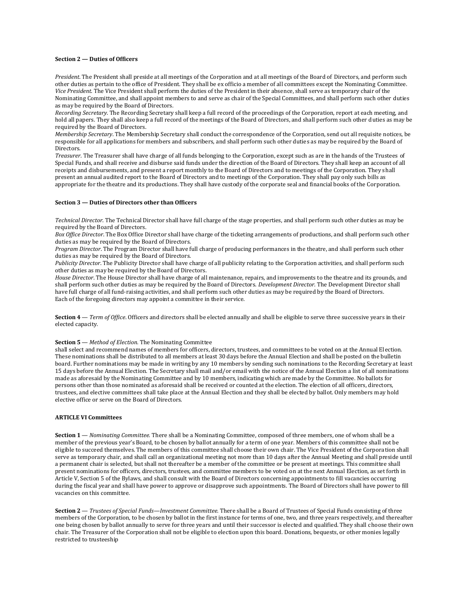### **Section 2 — Duties of Officers**

*President*. The President shall preside at all meetings of the Corporation and at all meetings of the Board of Directors, and perform such other duties as pertain to the office of President. They shall be ex officio a member of all committees except the Nominating Committee. *Vice President*. The Vice President shall perform the duties of the President in their absence, shall serve as temporary chair of the Nominating Committee, and shall appoint members to and serve as chair of the Special Committees, and shall perform such other duties as may be required by the Board of Directors.

*Recording Secretary*. The Recording Secretary shall keep a full record of the proceedings of the Corporation, report at each meeting, and hold all papers. They shall also keep a full record of the meetings of the Board of Directors, and shall perform such other duties as may be required by the Board of Directors.

*Membership Secretary*. The Membership Secretary shall conduct the correspondence of the Corporation, send out all requisite notices, be responsible for all applications for members and subscribers, and shall perform such other duties as may be required by the Board of **Directors** 

*Treasurer*. The Treasurer shall have charge of all funds belonging to the Corporation, except such as are in the hands of the Trustees of Special Funds, and shall receive and disburse said funds under the direction of the Board of Directors. They shall keep an account of all receipts and disbursements, and present a report monthly to the Board of Directors and to meetings of the Corporation. They shall present an annual audited report to the Board of Directors and to meetings of the Corporation. They shall pay only such bills as appropriate for the theatre and its productions. They shall have custody of the corporate seal and financial books of the Corporation.

## **Section 3 — Duties of Directors other than Officers**

*Technical Director*. The Technical Director shall have full charge of the stage properties, and shall perform such other duties as may be required by the Board of Directors.

*Box Office Director*. The Box Office Director shall have charge of the ticketing arrangements of productions, and shall perform such other duties as may be required by the Board of Directors.

*Program Director*. The Program Director shall have full charge of producing performances in the theatre, and shall perform such other duties as may be required by the Board of Directors.

*Publicity Director*. The Publicity Director shall have charge of all publicity relating to the Corporation activities, and shall perform such other duties as may be required by the Board of Directors.

*House Director*. The House Director shall have charge of all maintenance, repairs, and improvements to the theatre and its grounds, and shall perform such other duties as may be required by the Board of Directors. *Development Director*. The Development Director shall have full charge of all fund-raising activities, and shall perform such other duties as may be required by the Board of Directors. Each of the foregoing directors may appoint a committee in their service.

**Section 4** — *Term of Office*. Officers and directors shall be elected annually and shall be eligible to serve three successive years in their elected capacity.

#### **Section 5** — *Method of Election*. The Nominating Committee

shall select and recommend names of members for officers, directors, trustees, and committees to be voted on at the Annual Election. These nominations shall be distributed to all members at least 30 days before the Annual Election and shall be posted on the bulletin board. Further nominations may be made in writing by any 10 members by sending such nominations to the Recording Secretary at least 15 days before the Annual Election. The Secretary shall mail and/or email with the notice of the Annual Election a list of all nominations made as aforesaid by the Nominating Committee and by 10 members, indicating which are made by the Committee. No ballots for persons other than those nominated as aforesaid shall be received or counted at the election. The election of all officers, directors, trustees, and elective committees shall take place at the Annual Election and they shall be elected by ballot. Only members may hold elective office or serve on the Board of Directors.

## **ARTICLE VI Committees**

**Section 1** — *Nominating Committee*. There shall be a Nominating Committee, composed of three members, one of whom shall be a member of the previous year's Board, to be chosen by ballot annually for a term of one year. Members of this committee shall not be eligible to succeed themselves. The members of this committee shall choose their own chair. The Vice President of the Corporation shall serve as temporary chair, and shall call an organizational meeting not more than 10 days after the Annual Meeting and shall preside until a permanent chair is selected, but shall not thereafter be a member of the committee or be present at meetings. This committee shall present nominations for officers, directors, trustees, and committee members to be voted on at the next Annual Election, as set forth in Article V, Section 5 of the Bylaws, and shall consult with the Board of Directors concerning appointments to fill vacancies occurring during the fiscal year and shall have power to approve or disapprove such appointments. The Board of Directors shall have power to fill vacancies on this committee.

**Section 2** — *Trustees of Special Funds—Investment Committee*. There shall be a Board of Trustees of Special Funds consisting of three members of the Corporation, to be chosen by ballot in the first instance for terms of one, two, and three years respectively, and thereafter one being chosen by ballot annually to serve for three years and until their successor is elected and qualified. They shall choose their own chair. The Treasurer of the Corporation shall not be eligible to election upon this board. Donations, bequests, or other monies legally restricted to trusteeship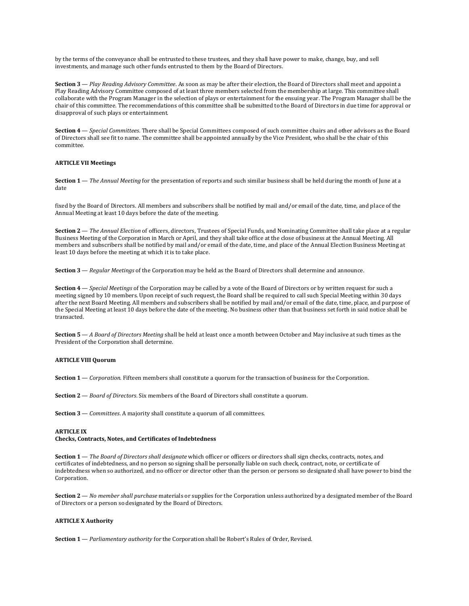by the terms of the conveyance shall be entrusted to these trustees, and they shall have power to make, change, buy, and sell investments, and manage such other funds entrusted to them by the Board of Directors.

**Section 3** — *Play Reading Advisory Committee*. As soon as may be after their election, the Board of Directors shall meet and appoint a Play Reading Advisory Committee composed of at least three members selected from the membership at large. This committee shall collaborate with the Program Manager in the selection of plays or entertainment for the ensuing year. The Program Manager shall be the chair of this committee. The recommendations of this committee shall be submitted to the Board of Directors in due time for approval or disapproval of such plays or entertainment.

**Section 4** — *Special Committees*. There shall be Special Committees composed of such committee chairs and other advisors as the Board of Directors shall see fit to name. The committee shall be appointed annually by the Vice President, who shall be the chair of this committee.

## **ARTICLE VII Meetings**

**Section 1** — *The Annual Meeting* for the presentation of reports and such similar business shall be held during the month of June at a date

fixed by the Board of Directors. All members and subscribers shall be notified by mail and/or email of the date, time, and place of the Annual Meeting at least 10 days before the date of the meeting.

**Section 2** — *The Annual Election* of officers, directors, Trustees of Special Funds, and Nominating Committee shall take place at a regular Business Meeting of the Corporation in March or April, and they shall take office at the close of business at the Annual Meeting. All members and subscribers shall be notified by mail and/or email of the date, time, and place of the Annual Election Business Meeting at least 10 days before the meeting at which it is to take place.

**Section 3** — *Regular Meetings* of the Corporation may be held as the Board of Directors shall determine and announce.

**Section 4** — *Special Meetings* of the Corporation may be called by a vote of the Board of Directors or by written request for such a meeting signed by 10 members. Upon receipt of such request, the Board shall be required to call such Special Meeting within 30 days after the next Board Meeting. All members and subscribers shall be notified by mail and/or email of the date, time, place, and purpose of the Special Meeting at least 10 days before the date of the meeting. No business other than that business set forth in said notice shall be transacted.

**Section 5** — *A Board of Directors Meeting* shall be held at least once a month between October and May inclusive at such times as the President of the Corporation shall determine.

## **ARTICLE VIII Quorum**

**Section 1** — *Corporation*. Fifteen members shall constitute a quorum for the transaction of business for the Corporation.

**Section 2** — *Board of Directors*. Six members of the Board of Directors shall constitute a quorum.

**Section 3** — *Committees*. A majority shall constitute a quorum of all committees.

#### **ARTICLE IX**

## **Checks, Contracts, Notes, and Certificates of Indebtedness**

**Section 1** — *The Board of Directors shall designate* which officer or officers or directors shall sign checks, contracts, notes, and certificates of indebtedness, and no person so signing shall be personally liable on such check, contract, note, or certificate of indebtedness when so authorized, and no officer or director other than the person or persons so designated shall have power to bind the Corporation.

**Section 2** — *No member shall purchase* materials or supplies for the Corporation unless authorized by a designated member of the Board of Directors or a person so designated by the Board of Directors.

## **ARTICLE X Authority**

**Section 1** — *Parliamentary authority* for the Corporation shall be Robert's Rules of Order, Revised.